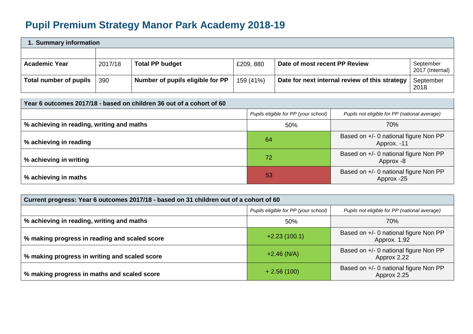## **Pupil Premium Strategy Manor Park Academy 2018-19**

| 1. Summary information |         |                                  |           |                                                |                              |  |
|------------------------|---------|----------------------------------|-----------|------------------------------------------------|------------------------------|--|
|                        |         |                                  |           |                                                |                              |  |
| <b>Academic Year</b>   | 2017/18 | <b>Total PP budget</b>           | £209, 880 | Date of most recent PP Review                  | September<br>2017 (Internal) |  |
| Total number of pupils | 390     | Number of pupils eligible for PP | 159 (41%) | Date for next internal review of this strategy | September<br>2018            |  |

| Year 6 outcomes 2017/18 - based on children 36 out of a cohort of 60 |                                      |                                                      |  |  |  |  |
|----------------------------------------------------------------------|--------------------------------------|------------------------------------------------------|--|--|--|--|
|                                                                      | Pupils eligible for PP (your school) | Pupils not eligible for PP (national average)        |  |  |  |  |
| % achieving in reading, writing and maths                            | 50%                                  | 70%                                                  |  |  |  |  |
| % achieving in reading                                               | 64                                   | Based on +/- 0 national figure Non PP<br>Approx. -11 |  |  |  |  |
| % achieving in writing                                               | 72                                   | Based on +/- 0 national figure Non PP<br>Approx -8   |  |  |  |  |
| % achieving in maths                                                 | 53                                   | Based on +/- 0 national figure Non PP<br>Approx -25  |  |  |  |  |

| Current progress: Year 6 outcomes 2017/18 - based on 31 children out of a cohort of 60 |                                      |                                                       |  |  |  |
|----------------------------------------------------------------------------------------|--------------------------------------|-------------------------------------------------------|--|--|--|
|                                                                                        | Pupils eligible for PP (your school) | Pupils not eligible for PP (national average)         |  |  |  |
| % achieving in reading, writing and maths                                              | 50%                                  | 70%                                                   |  |  |  |
| % making progress in reading and scaled score                                          | $+2.23(100.1)$                       | Based on +/- 0 national figure Non PP<br>Approx. 1.92 |  |  |  |
| % making progress in writing and scaled score                                          | $+2.46$ (N/A)                        | Based on +/- 0 national figure Non PP<br>Approx 2.22  |  |  |  |
| % making progress in maths and scaled score                                            | $+2.56(100)$                         | Based on +/- 0 national figure Non PP<br>Approx 2.25  |  |  |  |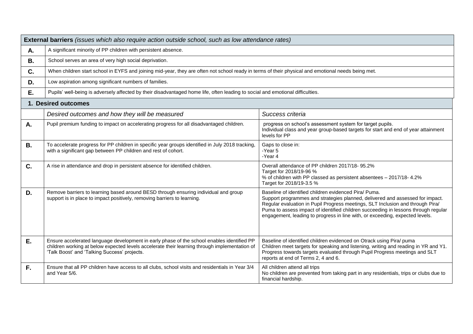|           | <b>External barriers</b> (issues which also require action outside school, such as low attendance rates)                                                                                                                                    |                                                                                                                                                                                                                                                                                                                                                                                                |  |  |  |  |
|-----------|---------------------------------------------------------------------------------------------------------------------------------------------------------------------------------------------------------------------------------------------|------------------------------------------------------------------------------------------------------------------------------------------------------------------------------------------------------------------------------------------------------------------------------------------------------------------------------------------------------------------------------------------------|--|--|--|--|
| A.        | A significant minority of PP children with persistent absence.                                                                                                                                                                              |                                                                                                                                                                                                                                                                                                                                                                                                |  |  |  |  |
| <b>B.</b> | School serves an area of very high social deprivation.                                                                                                                                                                                      |                                                                                                                                                                                                                                                                                                                                                                                                |  |  |  |  |
| C.        | When children start school in EYFS and joining mid-year, they are often not school ready in terms of their physical and emotional needs being met.                                                                                          |                                                                                                                                                                                                                                                                                                                                                                                                |  |  |  |  |
| D.        | Low aspiration among significant numbers of families.                                                                                                                                                                                       |                                                                                                                                                                                                                                                                                                                                                                                                |  |  |  |  |
| Ε.        | Pupils' well-being is adversely affected by their disadvantaged home life, often leading to social and emotional difficulties.                                                                                                              |                                                                                                                                                                                                                                                                                                                                                                                                |  |  |  |  |
|           | 1. Desired outcomes                                                                                                                                                                                                                         |                                                                                                                                                                                                                                                                                                                                                                                                |  |  |  |  |
|           | Desired outcomes and how they will be measured                                                                                                                                                                                              | Success criteria                                                                                                                                                                                                                                                                                                                                                                               |  |  |  |  |
| A.        | Pupil premium funding to impact on accelerating progress for all disadvantaged children.                                                                                                                                                    | progress on school's assessment system for target pupils.<br>Individual class and year group-based targets for start and end of year attainment<br>levels for PP                                                                                                                                                                                                                               |  |  |  |  |
| <b>B.</b> | To accelerate progress for PP children in specific year groups identified in July 2018 tracking,<br>with a significant gap between PP children and rest of cohort.                                                                          | Gaps to close in:<br>-Year 5<br>-Year 4                                                                                                                                                                                                                                                                                                                                                        |  |  |  |  |
| C.        | A rise in attendance and drop in persistent absence for identified children.                                                                                                                                                                | Overall attendance of PP children 2017/18-95.2%<br>Target for 2018/19-96 %<br>% of children with PP classed as persistent absentees - 2017/18- 4.2%<br>Target for 2018/19-3.5 %                                                                                                                                                                                                                |  |  |  |  |
| D.        | Remove barriers to learning based around BESD through ensuring individual and group<br>support is in place to impact positively, removing barriers to learning.                                                                             | Baseline of identified children evidenced Pira/ Puma.<br>Support programmes and strategies planned, delivered and assessed for impact.<br>Regular evaluation in Pupil Progress meetings, SLT Inclusion and through Pira/<br>Puma to assess impact of identified children succeeding in lessons through regular<br>engagement, leading to progress in line with, or exceeding, expected levels. |  |  |  |  |
| Ε.        | Ensure accelerated language development in early phase of the school enables identified PP<br>children working at below expected levels accelerate their learning through implementation of<br>'Talk Boost' and 'Talking Success' projects. | Baseline of identified children evidenced on Otrack using Pira/ puma<br>Children meet targets for speaking and listening, writing and reading in YR and Y1.<br>Progress towards targets evaluated through Pupil Progress meetings and SLT<br>reports at end of Terms 2, 4 and 6.                                                                                                               |  |  |  |  |
| F.        | Ensure that all PP children have access to all clubs, school visits and residentials in Year 3/4<br>and Year 5/6.                                                                                                                           | All children attend all trips<br>No children are prevented from taking part in any residentials, trips or clubs due to<br>financial hardship.                                                                                                                                                                                                                                                  |  |  |  |  |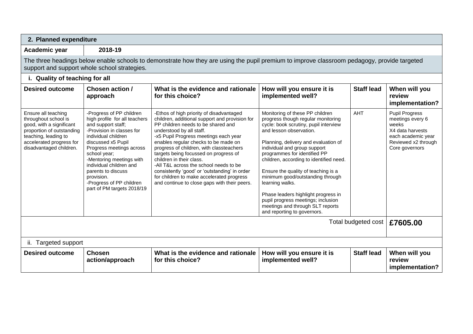| 2. Planned expenditure                                                                                                                                                              |                                                                                                                                                                                                                                                                                                                                                            |                                                                                                                                                                                                                                                                                                                                                                                                                                                                                                                                                        |                                                                                                                                                                                                                                                                                                                                                                                                                                                                                                                                            |                   |                                                                                                                                       |
|-------------------------------------------------------------------------------------------------------------------------------------------------------------------------------------|------------------------------------------------------------------------------------------------------------------------------------------------------------------------------------------------------------------------------------------------------------------------------------------------------------------------------------------------------------|--------------------------------------------------------------------------------------------------------------------------------------------------------------------------------------------------------------------------------------------------------------------------------------------------------------------------------------------------------------------------------------------------------------------------------------------------------------------------------------------------------------------------------------------------------|--------------------------------------------------------------------------------------------------------------------------------------------------------------------------------------------------------------------------------------------------------------------------------------------------------------------------------------------------------------------------------------------------------------------------------------------------------------------------------------------------------------------------------------------|-------------------|---------------------------------------------------------------------------------------------------------------------------------------|
| Academic year                                                                                                                                                                       | 2018-19                                                                                                                                                                                                                                                                                                                                                    |                                                                                                                                                                                                                                                                                                                                                                                                                                                                                                                                                        |                                                                                                                                                                                                                                                                                                                                                                                                                                                                                                                                            |                   |                                                                                                                                       |
|                                                                                                                                                                                     | support and support whole school strategies.                                                                                                                                                                                                                                                                                                               | The three headings below enable schools to demonstrate how they are using the pupil premium to improve classroom pedagogy, provide targeted                                                                                                                                                                                                                                                                                                                                                                                                            |                                                                                                                                                                                                                                                                                                                                                                                                                                                                                                                                            |                   |                                                                                                                                       |
| i. Quality of teaching for all                                                                                                                                                      |                                                                                                                                                                                                                                                                                                                                                            |                                                                                                                                                                                                                                                                                                                                                                                                                                                                                                                                                        |                                                                                                                                                                                                                                                                                                                                                                                                                                                                                                                                            |                   |                                                                                                                                       |
| <b>Desired outcome</b>                                                                                                                                                              | Chosen action /<br>approach                                                                                                                                                                                                                                                                                                                                | What is the evidence and rationale<br>for this choice?                                                                                                                                                                                                                                                                                                                                                                                                                                                                                                 | How will you ensure it is<br>implemented well?                                                                                                                                                                                                                                                                                                                                                                                                                                                                                             | <b>Staff lead</b> | When will you<br>review<br>implementation?                                                                                            |
| Ensure all teaching<br>throughout school is<br>good, with a significant<br>proportion of outstanding<br>teaching, leading to<br>accelerated progress for<br>disadvantaged children. | -Progress of PP children<br>high profile for all teachers<br>and support staff;<br>-Provision in classes for<br>individual children<br>discussed x5 Pupil<br>Progress meetings across<br>school year;<br>-Mentoring meetings with<br>individual children and<br>parents to discuss<br>provision.<br>-Progress of PP children<br>part of PM targets 2018/19 | -Ethos of high priority of disadvantaged<br>children, additional support and provision for<br>PP children needs to be shared and<br>understood by all staff.<br>-x5 Pupil Progress meetings each year<br>enables regular checks to be made on<br>progress of children, with classteachers<br>targets being focussed on progress of<br>children in their class.<br>-All T&L across the school needs to be<br>consistently 'good' or 'outstanding' in order<br>for children to make accelerated progress<br>and continue to close gaps with their peers. | Monitoring of these PP children<br>progress though regular monitoring<br>cycle: book scrutiny, pupil interview<br>and lesson observation.<br>Planning, delivery and evaluation of<br>individual and group support<br>programmes for identified PP<br>children, according to identified need.<br>Ensure the quality of teaching is a<br>minimum good/outstanding through<br>learning walks.<br>Phase leaders highlight progress in<br>pupil progress meetings; inclusion<br>meetings and through SLT reports<br>and reporting to governors. | <b>AHT</b>        | <b>Pupil Progress</b><br>meetings every 6<br>weeks<br>X4 data harvests<br>each academic year<br>Reviewed x2 through<br>Core governors |
| Total budgeted cost                                                                                                                                                                 |                                                                                                                                                                                                                                                                                                                                                            |                                                                                                                                                                                                                                                                                                                                                                                                                                                                                                                                                        |                                                                                                                                                                                                                                                                                                                                                                                                                                                                                                                                            |                   | £7605.00                                                                                                                              |
| ii. Targeted support                                                                                                                                                                |                                                                                                                                                                                                                                                                                                                                                            |                                                                                                                                                                                                                                                                                                                                                                                                                                                                                                                                                        |                                                                                                                                                                                                                                                                                                                                                                                                                                                                                                                                            |                   |                                                                                                                                       |
| <b>Desired outcome</b>                                                                                                                                                              | <b>Chosen</b><br>action/approach                                                                                                                                                                                                                                                                                                                           | What is the evidence and rationale<br>for this choice?                                                                                                                                                                                                                                                                                                                                                                                                                                                                                                 | How will you ensure it is<br>implemented well?                                                                                                                                                                                                                                                                                                                                                                                                                                                                                             | <b>Staff lead</b> | When will you<br>review<br>implementation?                                                                                            |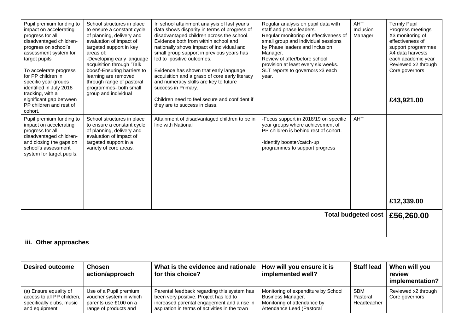| Pupil premium funding to<br>impact on accelerating<br>progress for all<br>disadvantaged children-<br>progress on school's<br>assessment system for<br>target pupils.<br>To accelerate progress<br>for PP children in<br>specific year groups<br>identified in July 2018<br>tracking, with a<br>significant gap between<br>PP children and rest of<br>cohort. | School structures in place<br>to ensure a constant cycle<br>of planning, delivery and<br>evaluation of impact of<br>targeted support in key<br>areas of:<br>-Developing early language<br>acquisition through 'Talk<br>boost'-Ensuring barriers to<br>learning are removed<br>through range of pastoral<br>programmes- both small<br>group and individual | In school attainment analysis of last year's<br>data shows disparity in terms of progress of<br>disadvantaged children across the school.<br>Evidence both from within school and<br>nationally shows impact of individual and<br>small group support in previous years has<br>led to positive outcomes.<br>Evidence has shown that early language<br>acquisition and a grasp of core early literacy<br>and numeracy skills are key to future<br>success in Primary.<br>Children need to feel secure and confident if<br>they are to success in class. | Regular analysis on pupil data with<br>staff and phase leaders.<br>Regular monitoring of effectiveness of<br>small group and individual sessions<br>by Phase leaders and Inclusion<br>Manager.<br>Review of after/before school<br>provision at least every six weeks.<br>SLT reports to governors x3 each<br>year. | <b>AHT</b><br>Inclusion<br>Manager    | <b>Termly Pupil</b><br>Progress meetings<br>X3 monitoring of<br>effectiveness of<br>support programmes<br>X4 data harvests<br>each academic year<br>Reviewed x2 through<br>Core governors<br>£43,921.00 |
|--------------------------------------------------------------------------------------------------------------------------------------------------------------------------------------------------------------------------------------------------------------------------------------------------------------------------------------------------------------|-----------------------------------------------------------------------------------------------------------------------------------------------------------------------------------------------------------------------------------------------------------------------------------------------------------------------------------------------------------|--------------------------------------------------------------------------------------------------------------------------------------------------------------------------------------------------------------------------------------------------------------------------------------------------------------------------------------------------------------------------------------------------------------------------------------------------------------------------------------------------------------------------------------------------------|---------------------------------------------------------------------------------------------------------------------------------------------------------------------------------------------------------------------------------------------------------------------------------------------------------------------|---------------------------------------|---------------------------------------------------------------------------------------------------------------------------------------------------------------------------------------------------------|
| Pupil premium funding to<br>impact on accelerating<br>progress for all<br>disadvantaged children-<br>and closing the gaps on<br>school's assessment<br>system for target pupils.                                                                                                                                                                             | School structures in place<br>to ensure a constant cycle<br>of planning, delivery and<br>evaluation of impact of<br>targeted support in a<br>variety of core areas.                                                                                                                                                                                       | Attainment of disadvantaged children to be in<br>line with National                                                                                                                                                                                                                                                                                                                                                                                                                                                                                    | -Focus support in 2018/19 on specific<br>year groups where achievement of<br>PP children is behind rest of cohort.<br>-Identify booster/catch-up<br>programmes to support progress                                                                                                                                  | <b>AHT</b>                            | £12,339.00                                                                                                                                                                                              |
|                                                                                                                                                                                                                                                                                                                                                              |                                                                                                                                                                                                                                                                                                                                                           |                                                                                                                                                                                                                                                                                                                                                                                                                                                                                                                                                        |                                                                                                                                                                                                                                                                                                                     | <b>Total budgeted cost</b>            | £56,260.00                                                                                                                                                                                              |
| iii. Other approaches                                                                                                                                                                                                                                                                                                                                        |                                                                                                                                                                                                                                                                                                                                                           |                                                                                                                                                                                                                                                                                                                                                                                                                                                                                                                                                        |                                                                                                                                                                                                                                                                                                                     |                                       |                                                                                                                                                                                                         |
| <b>Desired outcome</b>                                                                                                                                                                                                                                                                                                                                       | <b>Chosen</b><br>action/approach                                                                                                                                                                                                                                                                                                                          | What is the evidence and rationale<br>for this choice?                                                                                                                                                                                                                                                                                                                                                                                                                                                                                                 | How will you ensure it is<br>implemented well?                                                                                                                                                                                                                                                                      | <b>Staff lead</b>                     | When will you<br>review<br>implementation?                                                                                                                                                              |
| (a) Ensure equality of<br>access to all PP children,<br>specifically clubs, music<br>and equipment.                                                                                                                                                                                                                                                          | Use of a Pupil premium<br>voucher system in which<br>parents use £100 on a<br>range of products and                                                                                                                                                                                                                                                       | Parental feedback regarding this system has<br>been very positive. Project has led to<br>increased parental engagement and a rise in<br>aspiration in terms of activities in the town                                                                                                                                                                                                                                                                                                                                                                  | Monitoring of expenditure by School<br>Business Manager.<br>Monitoring of attendance by<br>Attendance Lead (Pastoral                                                                                                                                                                                                | <b>SBM</b><br>Pastoral<br>Headteacher | Reviewed x2 through<br>Core governors                                                                                                                                                                   |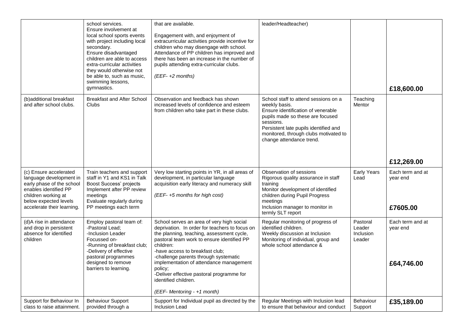|                                                                                                                                                                                       | school services.<br>Ensure involvement at<br>local school sports events<br>with project including local<br>secondary.<br>Ensure disadvantaged<br>children are able to access<br>extra-curricular activities<br>they would otherwise not<br>be able to, such as music,<br>swimming lessons,<br>gymnastics. | that are available.<br>Engagement with, and enjoyment of<br>extracurricular activities provide incentive for<br>children who may disengage with school.<br>Attendance of PP children has improved and<br>there has been an increase in the number of<br>pupils attending extra-curricular clubs.<br>(EEF-+2 months)                                                                                                                       | leader/Headteacher)                                                                                                                                                                                                                                        |                                           | £18,600.00                                 |
|---------------------------------------------------------------------------------------------------------------------------------------------------------------------------------------|-----------------------------------------------------------------------------------------------------------------------------------------------------------------------------------------------------------------------------------------------------------------------------------------------------------|-------------------------------------------------------------------------------------------------------------------------------------------------------------------------------------------------------------------------------------------------------------------------------------------------------------------------------------------------------------------------------------------------------------------------------------------|------------------------------------------------------------------------------------------------------------------------------------------------------------------------------------------------------------------------------------------------------------|-------------------------------------------|--------------------------------------------|
| (b)additional breakfast<br>and after school clubs.                                                                                                                                    | <b>Breakfast and After School</b><br><b>Clubs</b>                                                                                                                                                                                                                                                         | Observation and feedback has shown<br>increased levels of confidence and esteem<br>from children who take part in these clubs.                                                                                                                                                                                                                                                                                                            | School staff to attend sessions on a<br>weekly basis.<br>Ensure identification of venerable<br>pupils made so these are focused<br>sessions.<br>Persistent late pupils identified and<br>monitored, through clubs motivated to<br>change attendance trend. | Teaching<br>Mentor                        | £12,269.00                                 |
| (c) Ensure accelerated<br>language development in<br>early phase of the school<br>enables identified PP<br>children working at<br>below expected levels<br>accelerate their learning. | Train teachers and support<br>staff in Y1 and KS1 in Talk<br>Boost Success' projects<br>Implement after PP review<br>meetings<br>Evaluate regularly during<br>PP meetings each term                                                                                                                       | Very low starting points in YR, in all areas of<br>development, in particular language<br>acquisition early literacy and numeracy skill<br>(EEF-+5 months for high cost)                                                                                                                                                                                                                                                                  | Observation of sessions<br>Rigorous quality assurance in staff<br>training<br>Monitor development of identified<br>children during Pupil Progress<br>meetings<br>Inclusion manager to monitor in<br>termly SLT report                                      | <b>Early Years</b><br>Lead                | Each term and at<br>year end<br>£7605.00   |
| (d)A rise in attendance<br>and drop in persistent<br>absence for identified<br>children                                                                                               | Employ pastoral team of:<br>-Pastoral Lead:<br>-Inclusion Leader<br>Focussed on-<br>-Running of breakfast club;<br>-Delivery of effective<br>pastoral programmes<br>designed to remove<br>barriers to learning.                                                                                           | School serves an area of very high social<br>deprivation. In order for teachers to focus on<br>the planning, teaching, assessment cycle,<br>pastoral team work to ensure identified PP<br>children:<br>-have access to breakfast club;<br>-challenge parents through systematic<br>implementation of attendance management<br>policy;<br>-Deliver effective pastoral programme for<br>identified children.<br>(EEF- Mentoring - +1 month) | Regular monitoring of progress of<br>identified children.<br>Weekly discussion at Inclusion<br>Monitoring of individual, group and<br>whole school attendance &                                                                                            | Pastoral<br>Leader<br>Inclusion<br>Leader | Each term and at<br>year end<br>£64,746.00 |
| Support for Behaviour In<br>class to raise attainment.                                                                                                                                | <b>Behaviour Support</b><br>provided through a                                                                                                                                                                                                                                                            | Support for Individual pupil as directed by the<br><b>Inclusion Lead</b>                                                                                                                                                                                                                                                                                                                                                                  | Regular Meetings with Inclusion lead<br>to ensure that behaviour and conduct                                                                                                                                                                               | Behaviour<br>Support                      | £35,189.00                                 |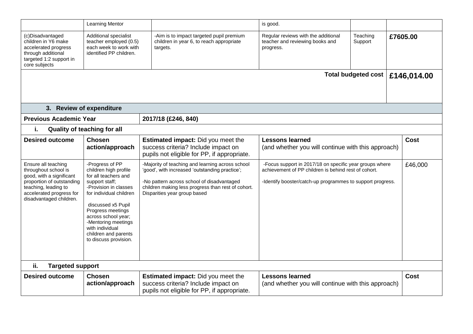|                                                                                                                                                                                     | <b>Learning Mentor</b>                                                                                                                                                                                                                                                                              |                                                                                                                                                                                                                                        | is good.                                                                                                                                                                      |                     |             |  |
|-------------------------------------------------------------------------------------------------------------------------------------------------------------------------------------|-----------------------------------------------------------------------------------------------------------------------------------------------------------------------------------------------------------------------------------------------------------------------------------------------------|----------------------------------------------------------------------------------------------------------------------------------------------------------------------------------------------------------------------------------------|-------------------------------------------------------------------------------------------------------------------------------------------------------------------------------|---------------------|-------------|--|
| (c)Disadvantaged<br>children in Y6 make<br>accelerated progress<br>through additional<br>targeted 1:2 support in<br>core subjects                                                   | Additional specialist<br>teacher employed (0.5)<br>each week to work with<br>identified PP children.                                                                                                                                                                                                | -Aim is to impact targeted pupil premium<br>children in year 6, to reach appropriate<br>targets.                                                                                                                                       | Regular reviews with the additional<br>teacher and reviewing books and<br>progress.                                                                                           | Teaching<br>Support | £7605.00    |  |
| 3. Review of expenditure                                                                                                                                                            |                                                                                                                                                                                                                                                                                                     |                                                                                                                                                                                                                                        |                                                                                                                                                                               | Total budgeted cost | £146,014.00 |  |
| <b>Previous Academic Year</b>                                                                                                                                                       |                                                                                                                                                                                                                                                                                                     | 2017/18 (£246, 840)                                                                                                                                                                                                                    |                                                                                                                                                                               |                     |             |  |
| i.                                                                                                                                                                                  | <b>Quality of teaching for all</b>                                                                                                                                                                                                                                                                  |                                                                                                                                                                                                                                        |                                                                                                                                                                               |                     |             |  |
| <b>Desired outcome</b>                                                                                                                                                              | <b>Chosen</b><br>action/approach                                                                                                                                                                                                                                                                    | <b>Estimated impact:</b> Did you meet the<br>success criteria? Include impact on<br>pupils not eligible for PP, if appropriate.                                                                                                        | <b>Lessons learned</b><br>(and whether you will continue with this approach)                                                                                                  |                     | <b>Cost</b> |  |
| Ensure all teaching<br>throughout school is<br>good, with a significant<br>proportion of outstanding<br>teaching, leading to<br>accelerated progress for<br>disadvantaged children. | -Progress of PP<br>children high profile<br>for all teachers and<br>support staff;<br>-Provision in classes<br>for individual children<br>discussed x5 Pupil<br>Progress meetings<br>across school year;<br>-Mentoring meetings<br>with individual<br>children and parents<br>to discuss provision. | -Majority of teaching and learning across school<br>'good', with increased 'outstanding practice';<br>-No pattern across school of disadvantaged<br>children making less progress than rest of cohort.<br>Disparities year group based | -Focus support in 2017/18 on specific year groups where<br>achievement of PP children is behind rest of cohort.<br>-Identify booster/catch-up programmes to support progress. |                     | £46,000     |  |
| ii.<br><b>Targeted support</b>                                                                                                                                                      |                                                                                                                                                                                                                                                                                                     |                                                                                                                                                                                                                                        |                                                                                                                                                                               |                     |             |  |
| <b>Desired outcome</b>                                                                                                                                                              | <b>Chosen</b><br>action/approach                                                                                                                                                                                                                                                                    | <b>Estimated impact:</b> Did you meet the<br>success criteria? Include impact on<br>pupils not eligible for PP, if appropriate.                                                                                                        | <b>Lessons learned</b><br>(and whether you will continue with this approach)                                                                                                  |                     | <b>Cost</b> |  |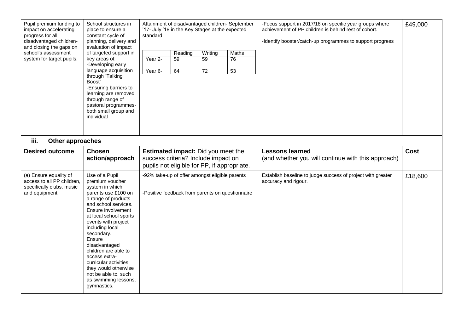| Pupil premium funding to<br>impact on accelerating<br>progress for all<br>disadvantaged children-<br>and closing the gaps on<br>school's assessment<br>system for target pupils.<br>iii. | School structures in<br>place to ensure a<br>constant cycle of<br>planning, delivery and<br>evaluation of impact<br>of targeted support in<br>key areas of:<br>-Developing early<br>language acquisition<br>through 'Talking<br>Boosť<br>-Ensuring barriers to<br>learning are removed<br>through range of<br>pastoral programmes-<br>both small group and<br>individual                                               | Attainment of disadvantaged children- September<br>'17- July '18 in the Key Stages at the expected<br>standard<br>Writing<br>Maths<br>Reading<br>Year 2-<br>59<br>59<br>76<br>64<br>72<br>53<br>Year 6- | -Focus support in 2017/18 on specific year groups where<br>achievement of PP children is behind rest of cohort.<br>-Identify booster/catch-up programmes to support progress | £49,000 |
|------------------------------------------------------------------------------------------------------------------------------------------------------------------------------------------|------------------------------------------------------------------------------------------------------------------------------------------------------------------------------------------------------------------------------------------------------------------------------------------------------------------------------------------------------------------------------------------------------------------------|---------------------------------------------------------------------------------------------------------------------------------------------------------------------------------------------------------|------------------------------------------------------------------------------------------------------------------------------------------------------------------------------|---------|
| Other approaches                                                                                                                                                                         |                                                                                                                                                                                                                                                                                                                                                                                                                        |                                                                                                                                                                                                         |                                                                                                                                                                              |         |
| <b>Desired outcome</b>                                                                                                                                                                   | <b>Chosen</b><br>action/approach                                                                                                                                                                                                                                                                                                                                                                                       | <b>Estimated impact:</b> Did you meet the<br>success criteria? Include impact on<br>pupils not eligible for PP, if appropriate.                                                                         | <b>Lessons learned</b><br>(and whether you will continue with this approach)                                                                                                 | Cost    |
| (a) Ensure equality of<br>access to all PP children,<br>specifically clubs, music<br>and equipment.                                                                                      | Use of a Pupil<br>premium voucher<br>system in which<br>parents use £100 on<br>a range of products<br>and school services.<br>Ensure involvement<br>at local school sports<br>events with project<br>including local<br>secondary.<br>Ensure<br>disadvantaged<br>children are able to<br>access extra-<br>curricular activities<br>they would otherwise<br>not be able to, such<br>as swimming lessons,<br>gymnastics. | -92% take-up of offer amongst eligible parents<br>-Positive feedback from parents on questionnaire                                                                                                      | Establish baseline to judge success of project with greater<br>accuracy and rigour.                                                                                          | £18,600 |